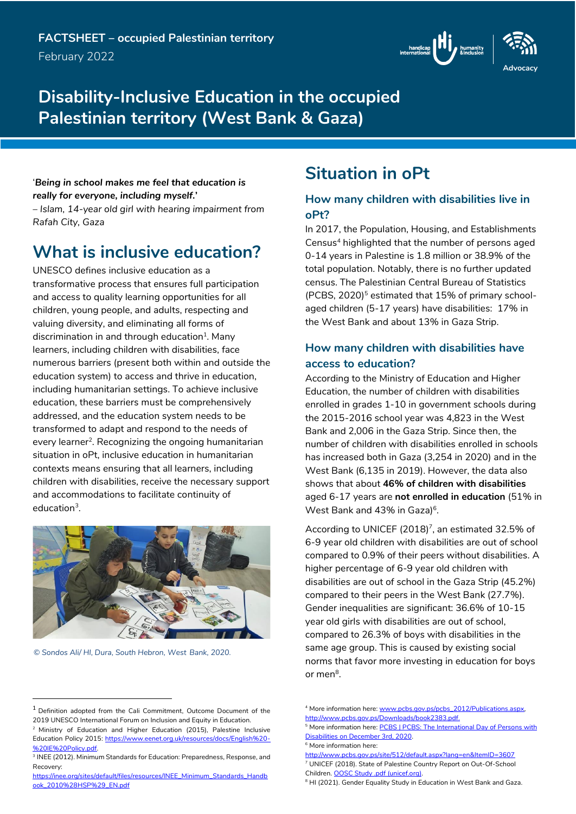



# **Disability-Inclusive Education in the occupied Palestinian territory (West Bank & Gaza)**

'*Being in school makes me feel that education is really for everyone, including myself.***'**

*– Islam, 14-year old girl with hearing impairment from Rafah City, Gaza*

# **What is inclusive education?**

UNESCO defines inclusive education as a transformative process that ensures full participation and access to quality learning opportunities for all children, young people, and adults, respecting and valuing diversity, and eliminating all forms of discrimination in and through education $^{\rm 1}$ . Many learners, including children with disabilities, face numerous barriers (present both within and outside the education system) to access and thrive in education, including humanitarian settings. To achieve inclusive education, these barriers must be comprehensively addressed, and the education system needs to be transformed to adapt and respond to the needs of every learner<sup>2</sup>. Recognizing the ongoing humanitarian situation in oPt, inclusive education in humanitarian contexts means ensuring that all learners, including children with disabilities, receive the necessary support and accommodations to facilitate continuity of education<sup>3</sup>.



*© Sondos Ali/ HI, Dura, South Hebron, West Bank, 2020.*

 $\overline{a}$ 

# **Situation in oPt**

#### **How many children with disabilities live in oPt?**

In 2017, the Population, Housing, and Establishments Census<sup>4</sup> highlighted that the number of persons aged 0-14 years in Palestine is 1.8 million or 38.9% of the total population. Notably, there is no further updated census. The Palestinian Central Bureau of Statistics (PCBS,  $2020$ <sup>5</sup> estimated that  $15%$  of primary schoolaged children (5-17 years) have disabilities: 17% in the West Bank and about 13% in Gaza Strip.

### **How many children with disabilities have access to education?**

According to the Ministry of Education and Higher Education, the number of children with disabilities enrolled in grades 1-10 in government schools during the 2015-2016 school year was 4,823 in the West Bank and 2,006 in the Gaza Strip. Since then, the number of children with disabilities enrolled in schools has increased both in Gaza (3,254 in 2020) and in the West Bank (6,135 in 2019). However, the data also shows that about **46% of children with disabilities** aged 6-17 years are **not enrolled in education** (51% in West Bank and 43% in Gaza)<sup>6</sup>.

According to UNICEF  $(2018)^7$ , an estimated 32.5% of 6-9 year old children with disabilities are out of school compared to 0.9% of their peers without disabilities. A higher percentage of 6-9 year old children with disabilities are out of school in the Gaza Strip (45.2%) compared to their peers in the West Bank (27.7%). Gender inequalities are significant: 36.6% of 10-15 year old girls with disabilities are out of school, compared to 26.3% of boys with disabilities in the same age group. This is caused by existing social norms that favor more investing in education for boys or men<sup>8</sup>.

<sup>&</sup>lt;sup>1</sup> Definition adopted from the Cali Commitment, Outcome Document of the 2019 UNESCO International Forum on Inclusion and Equity in Education.

<sup>&</sup>lt;sup>2</sup> Ministry of Education and Higher Education (2015), Palestine Inclusive Education Policy 2015: [https://www.eenet.org.uk/resources/docs/English%20-](https://www.eenet.org.uk/resources/docs/English%2520-%2520IE%2520Policy.pdf) [%20IE%20Policy.pdf.](https://www.eenet.org.uk/resources/docs/English%2520-%2520IE%2520Policy.pdf)

<sup>3</sup> INEE (2012). Minimum Standards for Education: Preparedness, Response, and Recovery:

[https://inee.org/sites/default/files/resources/INEE\\_Minimum\\_Standards\\_Handb](https://inee.org/sites/default/files/resources/INEE_Minimum_Standards_Handbook_2010%28HSP%29_EN.pdf) [ook\\_2010%28HSP%29\\_EN.pdf](https://inee.org/sites/default/files/resources/INEE_Minimum_Standards_Handbook_2010%28HSP%29_EN.pdf)

<sup>4</sup> More information here: [www.pcbs.gov.ps/pcbs\\_2012/Publications.aspx,](http://www.pcbs.gov.ps/pcbs_2012/Publications.aspx) [http://www.pcbs.gov.ps/Downloads/book2383.pdf.](http://www.pcbs.gov.ps/Downloads/book2383.pdf)

<sup>&</sup>lt;sup>5</sup> More information here: PCBS | PCBS: The [International](http://www.pcbs.gov.ps/post.aspx?lang=en&ItemID=3861) Day of Persons with [Disabilities](http://www.pcbs.gov.ps/post.aspx?lang=en&ItemID=3861) on December 3rd, 2020.

<sup>&</sup>lt;sup>6</sup> More information here:

<http://www.pcbs.gov.ps/site/512/default.aspx?lang=en&ItemID=3607> <sup>7</sup> UNICEF (2018). State of Palestine Country Report on Out-Of-School Children. OOSC Study .pdf [\(unicef.org\).](https://www.unicef.org/sop/media/176/file/OOSC%2520Study%2520.pdf)

<sup>&</sup>lt;sup>8</sup> HI (2021). Gender Equality Study in Education in West Bank and Gaza.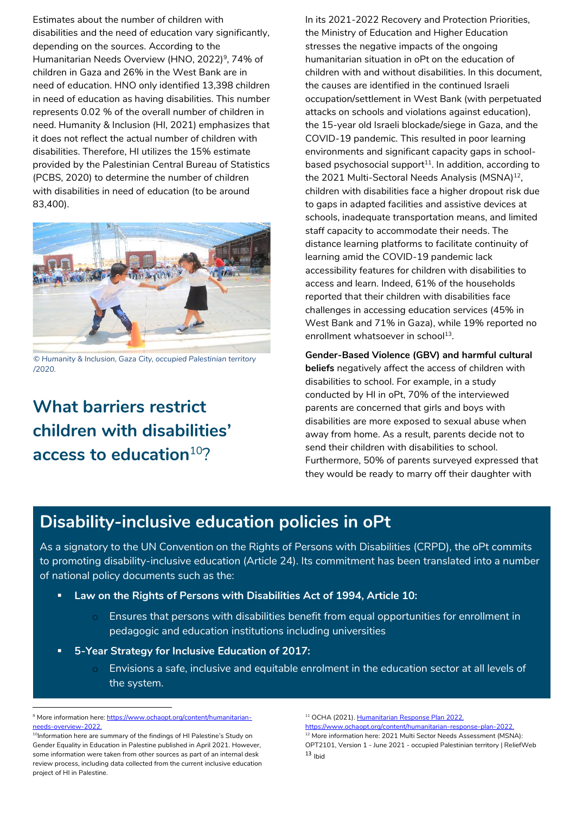Estimates about the number of children with disabilities and the need of education vary significantly, depending on the sources. According to the Humanitarian Needs Overview (HNO, 2022)<sup>9</sup>, 74% of children in Gaza and 26% in the West Bank are in need of education. HNO only identified 13,398 children in need of education as having disabilities. This number represents 0.02 % of the overall number of children in need. Humanity & Inclusion (HI, 2021) emphasizes that it does not reflect the actual number of children with disabilities. Therefore, HI utilizes the 15% estimate provided by the Palestinian Central Bureau of Statistics (PCBS, 2020) to determine the number of children with disabilities in need of education (to be around 83,400).



*© Humanity & Inclusion, Gaza City, occupied Palestinian territory /2020.*

**What barriers restrict children with disabilities' access to education**<sup>10</sup>?

In its 2021-2022 Recovery and Protection Priorities, the Ministry of Education and Higher Education stresses the negative impacts of the ongoing humanitarian situation in oPt on the education of children with and without disabilities. In this document, the causes are identified in the continued Israeli occupation/settlement in West Bank (with perpetuated attacks on schools and violations against education), the 15-year old Israeli blockade/siege in Gaza, and the COVID-19 pandemic. This resulted in poor learning environments and significant capacity gaps in school $based$  psychosocial support $11$ . In addition, according to the 2021 Multi-Sectoral Needs Analysis (MSNA) $^{12}$ , children with disabilities face a higher dropout risk due to gaps in adapted facilities and assistive devices at schools, inadequate transportation means, and limited staff capacity to accommodate their needs. The distance learning platforms to facilitate continuity of learning amid the COVID-19 pandemic lack accessibility features for children with disabilities to access and learn. Indeed, 61% of the households reported that their children with disabilities face challenges in accessing education services (45% in West Bank and 71% in Gaza), while 19% reported no enrollment whatsoever in school<sup>13</sup>.

**Gender-Based Violence (GBV) and harmful cultural beliefs** negatively affect the access of children with disabilities to school. For example, in a study conducted by HI in oPt, 70% of the interviewed parents are concerned that girls and boys with disabilities are more exposed to sexual abuse when away from home. As a result, parents decide not to send their children with disabilities to school. Furthermore, 50% of parents surveyed expressed that they would be ready to marry off their daughter with

## **Disability-inclusive education policies in oPt**

As a signatory to the UN Convention on the Rights of Persons with Disabilities (CRPD), the oPt commits to promoting disability-inclusive education (Article 24). Its commitment has been translated into a number of national policy documents such as the:

- **Law on the Rights of Persons with Disabilities Act of 1994, Article 10:**
	- Ensures that persons with disabilities benefit from equal opportunities for enrollment in pedagogic and education institutions including universities
- **5-Year Strategy for Inclusive Education of 2017:**
	- Envisions a safe, inclusive and equitable enrolment in the education sector at all levels of the system.

 $\overline{a}$ 

<sup>10</sup>Information here are summary of the findings of HI Palestine's Study on Gender Equality in Education in Palestine published in April 2021. However, some information were taken from other sources as part of an internal desk review process, including data collected from the current inclusive education project of HI in Palestine.

<sup>11</sup> OCHA (2021). Humanitarian Response Plan 2022.

[https://www.ochaopt.org/content/humanitarian-response-plan-2022.](https://www.ochaopt.org/content/humanitarian-response-plan-2022) <sup>12</sup> More information here: 2021 Multi Sector Needs [Assessment](https://reliefweb.int/report/occupied-palestinian-territory/2021-multi-sector-needs-assessment-msna-research-terms) (MSNA): OPT2101, Version 1 - June 2021 - occupied [Palestinian](https://reliefweb.int/report/occupied-palestinian-territory/2021-multi-sector-needs-assessment-msna-research-terms) territory | ReliefWeb  $13$  Ibid

<sup>&</sup>lt;sup>9</sup> More information here: [https://www.ochaopt.org/content/humanitarian](https://www.ochaopt.org/content/humanitarian-needs-overview-2022)[needs-overview-2022.](https://www.ochaopt.org/content/humanitarian-needs-overview-2022)